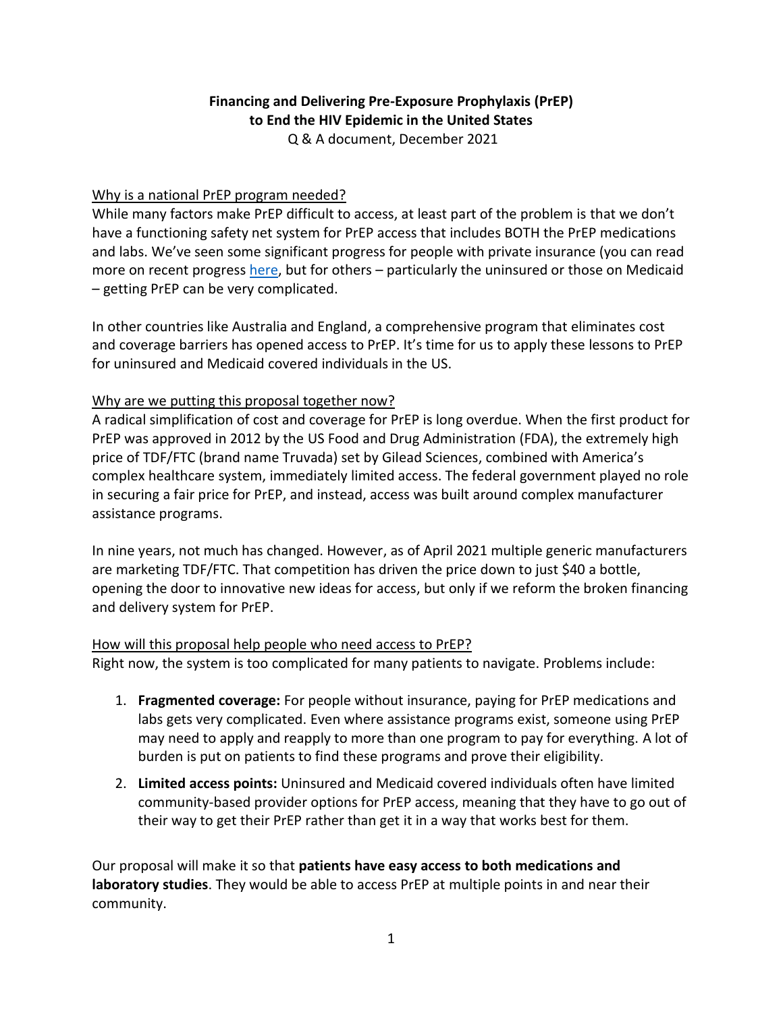# **Financing and Delivering Pre-Exposure Prophylaxis (PrEP) to End the HIV Epidemic in the United States**

Q & A document, December 2021

### Why is a national PrEP program needed?

While many factors make PrEP difficult to access, at least part of the problem is that we don't have a functioning safety net system for PrEP access that includes BOTH the PrEP medications and labs. We've seen some significant progress for people with private insurance (you can read more on recent progress [here,](https://www.cms.gov/CCIIO/Resources/Fact-Sheets-and-FAQs/Downloads/FAQs-Part-47.pdf) but for others – particularly the uninsured or those on Medicaid – getting PrEP can be very complicated.

In other countries like Australia and England, a comprehensive program that eliminates cost and coverage barriers has opened access to PrEP. It's time for us to apply these lessons to PrEP for uninsured and Medicaid covered individuals in the US.

## Why are we putting this proposal together now?

A radical simplification of cost and coverage for PrEP is long overdue. When the first product for PrEP was approved in 2012 by the US Food and Drug Administration (FDA), the extremely high price of TDF/FTC (brand name Truvada) set by Gilead Sciences, combined with America's complex healthcare system, immediately limited access. The federal government played no role in securing a fair price for PrEP, and instead, access was built around complex manufacturer assistance programs.

In nine years, not much has changed. However, as of April 2021 multiple generic manufacturers are marketing TDF/FTC. That competition has driven the price down to just \$40 a bottle, opening the door to innovative new ideas for access, but only if we reform the broken financing and delivery system for PrEP.

#### How will this proposal help people who need access to PrEP?

Right now, the system is too complicated for many patients to navigate. Problems include:

- 1. **Fragmented coverage:** For people without insurance, paying for PrEP medications and labs gets very complicated. Even where assistance programs exist, someone using PrEP may need to apply and reapply to more than one program to pay for everything. A lot of burden is put on patients to find these programs and prove their eligibility.
- 2. **Limited access points:** Uninsured and Medicaid covered individuals often have limited community-based provider options for PrEP access, meaning that they have to go out of their way to get their PrEP rather than get it in a way that works best for them.

Our proposal will make it so that **patients have easy access to both medications and laboratory studies**. They would be able to access PrEP at multiple points in and near their community.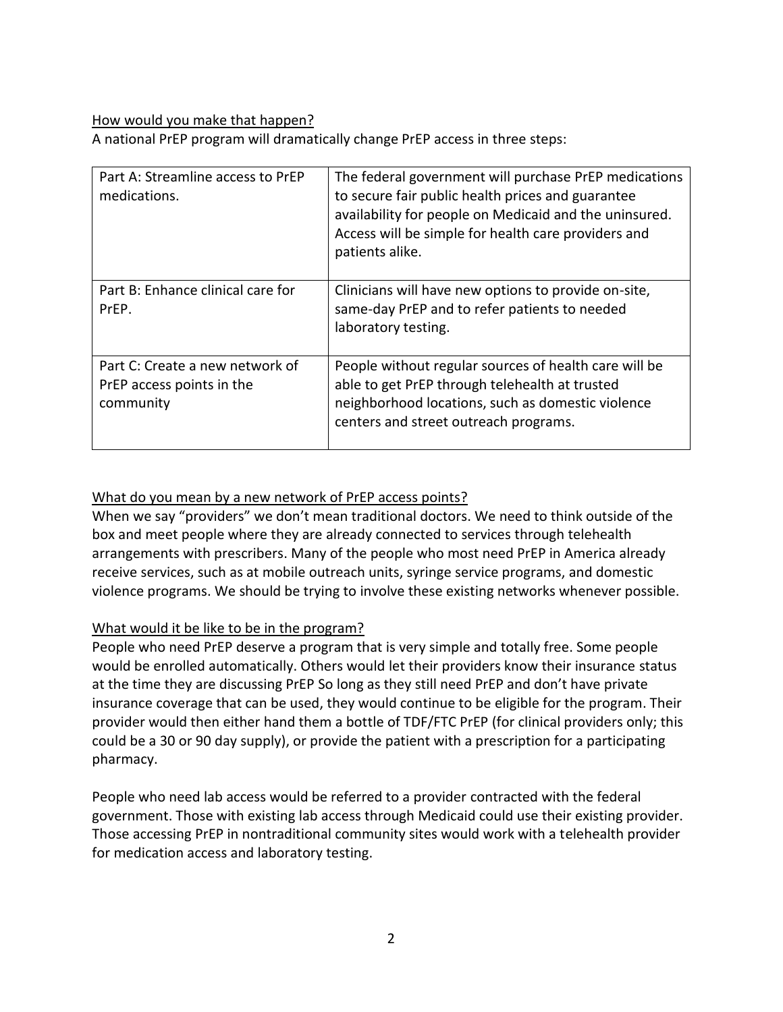#### How would you make that happen?

A national PrEP program will dramatically change PrEP access in three steps:

| Part A: Streamline access to PrEP<br>medications.                         | The federal government will purchase PrEP medications<br>to secure fair public health prices and guarantee<br>availability for people on Medicaid and the uninsured.<br>Access will be simple for health care providers and<br>patients alike. |
|---------------------------------------------------------------------------|------------------------------------------------------------------------------------------------------------------------------------------------------------------------------------------------------------------------------------------------|
| Part B: Enhance clinical care for<br>PrEP.                                | Clinicians will have new options to provide on-site,<br>same-day PrEP and to refer patients to needed<br>laboratory testing.                                                                                                                   |
| Part C: Create a new network of<br>PrEP access points in the<br>community | People without regular sources of health care will be<br>able to get PrEP through telehealth at trusted<br>neighborhood locations, such as domestic violence<br>centers and street outreach programs.                                          |

### What do you mean by a new network of PrEP access points?

When we say "providers" we don't mean traditional doctors. We need to think outside of the box and meet people where they are already connected to services through telehealth arrangements with prescribers. Many of the people who most need PrEP in America already receive services, such as at mobile outreach units, syringe service programs, and domestic violence programs. We should be trying to involve these existing networks whenever possible.

## What would it be like to be in the program?

People who need PrEP deserve a program that is very simple and totally free. Some people would be enrolled automatically. Others would let their providers know their insurance status at the time they are discussing PrEP So long as they still need PrEP and don't have private insurance coverage that can be used, they would continue to be eligible for the program. Their provider would then either hand them a bottle of TDF/FTC PrEP (for clinical providers only; this could be a 30 or 90 day supply), or provide the patient with a prescription for a participating pharmacy.

People who need lab access would be referred to a provider contracted with the federal government. Those with existing lab access through Medicaid could use their existing provider. Those accessing PrEP in nontraditional community sites would work with a telehealth provider for medication access and laboratory testing.